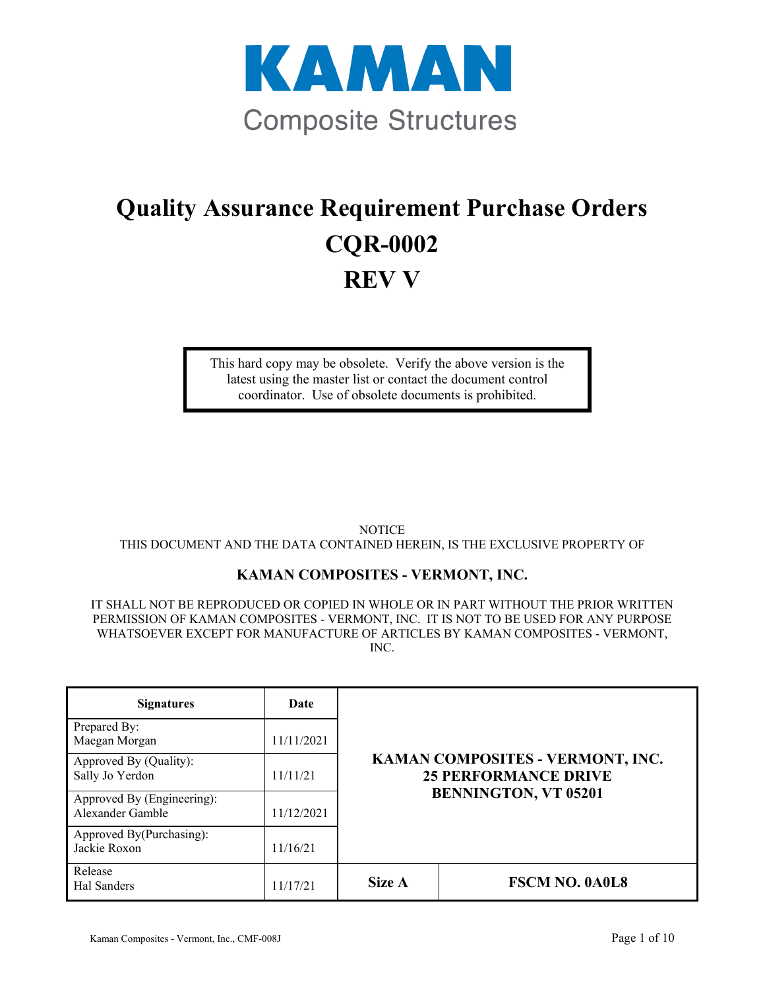

# **Quality Assurance Requirement Purchase Orders CQR-0002 REV V**

This hard copy may be obsolete. Verify the above version is the latest using the master list or contact the document control coordinator. Use of obsolete documents is prohibited.

NOTICE THIS DOCUMENT AND THE DATA CONTAINED HEREIN, IS THE EXCLUSIVE PROPERTY OF

# **KAMAN COMPOSITES - VERMONT, INC.**

IT SHALL NOT BE REPRODUCED OR COPIED IN WHOLE OR IN PART WITHOUT THE PRIOR WRITTEN PERMISSION OF KAMAN COMPOSITES - VERMONT, INC. IT IS NOT TO BE USED FOR ANY PURPOSE WHATSOEVER EXCEPT FOR MANUFACTURE OF ARTICLES BY KAMAN COMPOSITES - VERMONT, INC.

| <b>Signatures</b>                              | Date       |                                                                                                |                       |
|------------------------------------------------|------------|------------------------------------------------------------------------------------------------|-----------------------|
| Prepared By:<br>Maegan Morgan                  | 11/11/2021 | KAMAN COMPOSITES - VERMONT, INC.<br><b>25 PERFORMANCE DRIVE</b><br><b>BENNINGTON, VT 05201</b> |                       |
| Approved By (Quality):<br>Sally Jo Yerdon      | 11/11/21   |                                                                                                |                       |
| Approved By (Engineering):<br>Alexander Gamble | 11/12/2021 |                                                                                                |                       |
| Approved By(Purchasing):<br>Jackie Roxon       | 11/16/21   |                                                                                                |                       |
| Release<br>Hal Sanders                         | 11/17/21   | Size A                                                                                         | <b>FSCM NO. 0A0L8</b> |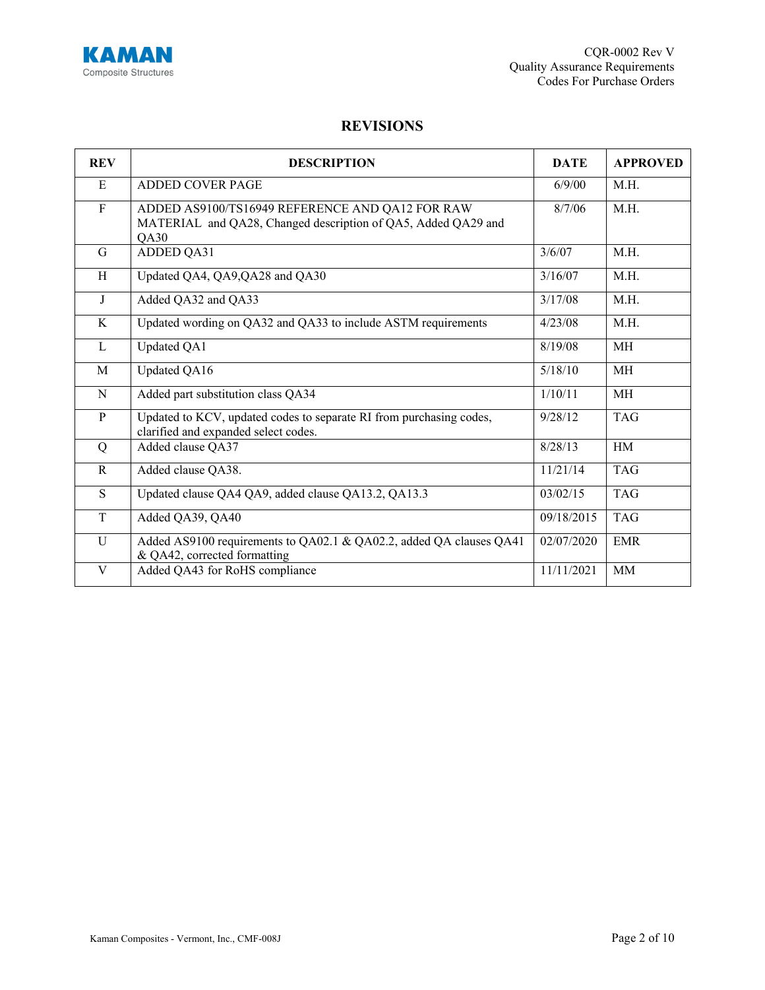

# **REVISIONS**

| <b>REV</b>   | <b>DESCRIPTION</b>                                                                                                       |            | <b>APPROVED</b> |
|--------------|--------------------------------------------------------------------------------------------------------------------------|------------|-----------------|
| E            | <b>ADDED COVER PAGE</b>                                                                                                  | 6/9/00     | M.H.            |
| $\mathbf{F}$ | ADDED AS9100/TS16949 REFERENCE AND QA12 FOR RAW<br>MATERIAL and QA28, Changed description of QA5, Added QA29 and<br>QA30 | 8/7/06     | M.H.            |
| G            | <b>ADDED QA31</b>                                                                                                        | 3/6/07     | M.H.            |
| H            | Updated QA4, QA9, QA28 and QA30                                                                                          | 3/16/07    | M.H.            |
| J            | Added QA32 and QA33                                                                                                      | 3/17/08    | M.H.            |
| K            | Updated wording on QA32 and QA33 to include ASTM requirements                                                            | 4/23/08    | M.H.            |
| L            | Updated QA1                                                                                                              | 8/19/08    | <b>MH</b>       |
| M            | Updated QA16                                                                                                             | 5/18/10    | MH              |
| $\mathbf N$  | Added part substitution class QA34                                                                                       | 1/10/11    | <b>MH</b>       |
| $\mathbf{P}$ | Updated to KCV, updated codes to separate RI from purchasing codes,<br>clarified and expanded select codes.              | 9/28/12    | <b>TAG</b>      |
| Q            | Added clause QA37                                                                                                        | 8/28/13    | HM              |
| $\mathbf R$  | Added clause QA38.                                                                                                       | 11/21/14   | <b>TAG</b>      |
| S            | Updated clause QA4 QA9, added clause QA13.2, QA13.3                                                                      | 03/02/15   | <b>TAG</b>      |
| $\mathbf T$  | Added QA39, QA40                                                                                                         | 09/18/2015 | <b>TAG</b>      |
| $\mathbf U$  | Added AS9100 requirements to QA02.1 & QA02.2, added QA clauses QA41<br>& QA42, corrected formatting                      | 02/07/2020 | <b>EMR</b>      |
| V            | Added QA43 for RoHS compliance                                                                                           | 11/11/2021 | <b>MM</b>       |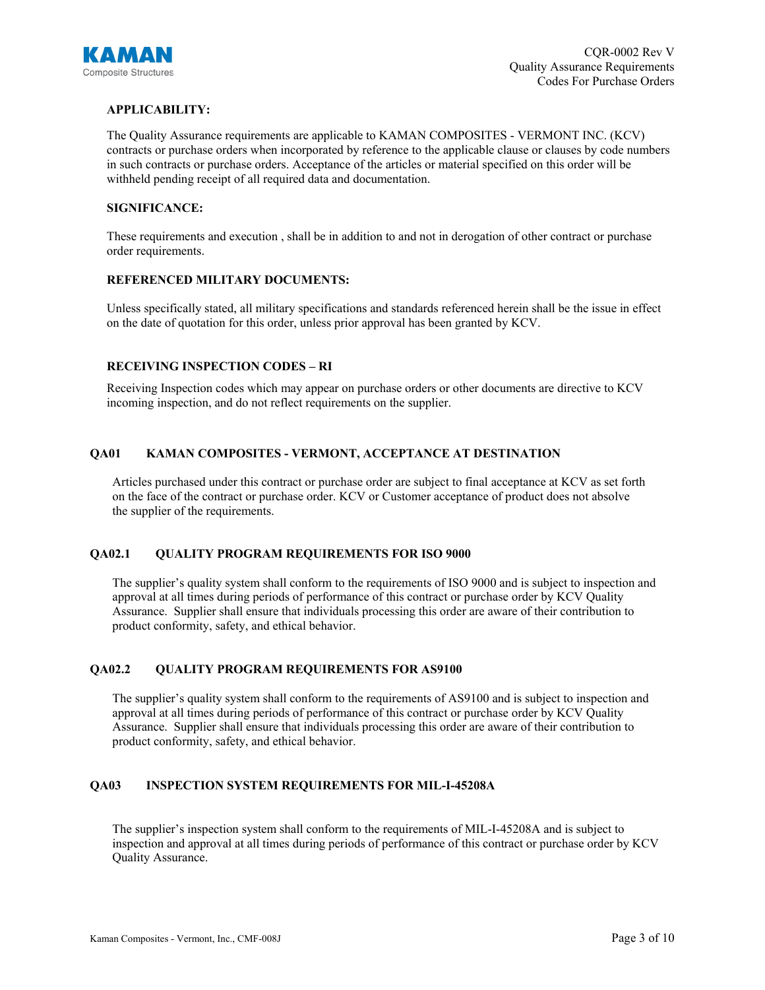

# **APPLICABILITY:**

The Quality Assurance requirements are applicable to KAMAN COMPOSITES - VERMONT INC. (KCV) contracts or purchase orders when incorporated by reference to the applicable clause or clauses by code numbers in such contracts or purchase orders. Acceptance of the articles or material specified on this order will be withheld pending receipt of all required data and documentation.

#### **SIGNIFICANCE:**

These requirements and execution , shall be in addition to and not in derogation of other contract or purchase order requirements.

#### **REFERENCED MILITARY DOCUMENTS:**

Unless specifically stated, all military specifications and standards referenced herein shall be the issue in effect on the date of quotation for this order, unless prior approval has been granted by KCV.

#### **RECEIVING INSPECTION CODES – RI**

Receiving Inspection codes which may appear on purchase orders or other documents are directive to KCV incoming inspection, and do not reflect requirements on the supplier.

# **QA01 KAMAN COMPOSITES - VERMONT, ACCEPTANCE AT DESTINATION**

Articles purchased under this contract or purchase order are subject to final acceptance at KCV as set forth on the face of the contract or purchase order. KCV or Customer acceptance of product does not absolve the supplier of the requirements.

# **QA02.1 QUALITY PROGRAM REQUIREMENTS FOR ISO 9000**

The supplier's quality system shall conform to the requirements of ISO 9000 and is subject to inspection and approval at all times during periods of performance of this contract or purchase order by KCV Quality Assurance. Supplier shall ensure that individuals processing this order are aware of their contribution to product conformity, safety, and ethical behavior.

# **QA02.2 QUALITY PROGRAM REQUIREMENTS FOR AS9100**

The supplier's quality system shall conform to the requirements of AS9100 and is subject to inspection and approval at all times during periods of performance of this contract or purchase order by KCV Quality Assurance. Supplier shall ensure that individuals processing this order are aware of their contribution to product conformity, safety, and ethical behavior.

#### **QA03 INSPECTION SYSTEM REQUIREMENTS FOR MIL-I-45208A**

The supplier's inspection system shall conform to the requirements of MIL-I-45208A and is subject to inspection and approval at all times during periods of performance of this contract or purchase order by KCV Quality Assurance.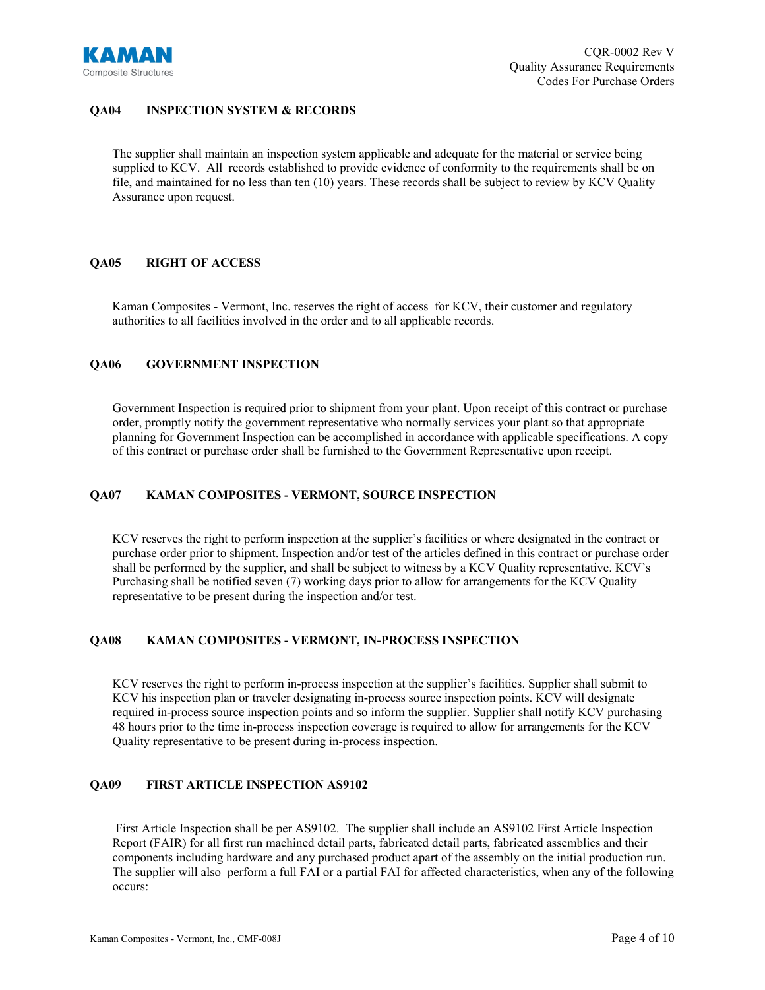

# **QA04 INSPECTION SYSTEM & RECORDS**

The supplier shall maintain an inspection system applicable and adequate for the material or service being supplied to KCV. All records established to provide evidence of conformity to the requirements shall be on file, and maintained for no less than ten (10) years. These records shall be subject to review by KCV Quality Assurance upon request.

# **QA05 RIGHT OF ACCESS**

Kaman Composites - Vermont, Inc. reserves the right of access for KCV, their customer and regulatory authorities to all facilities involved in the order and to all applicable records.

### **QA06 GOVERNMENT INSPECTION**

Government Inspection is required prior to shipment from your plant. Upon receipt of this contract or purchase order, promptly notify the government representative who normally services your plant so that appropriate planning for Government Inspection can be accomplished in accordance with applicable specifications. A copy of this contract or purchase order shall be furnished to the Government Representative upon receipt.

# **QA07 KAMAN COMPOSITES - VERMONT, SOURCE INSPECTION**

KCV reserves the right to perform inspection at the supplier's facilities or where designated in the contract or purchase order prior to shipment. Inspection and/or test of the articles defined in this contract or purchase order shall be performed by the supplier, and shall be subject to witness by a KCV Quality representative. KCV's Purchasing shall be notified seven (7) working days prior to allow for arrangements for the KCV Quality representative to be present during the inspection and/or test.

#### **QA08 KAMAN COMPOSITES - VERMONT, IN-PROCESS INSPECTION**

KCV reserves the right to perform in-process inspection at the supplier's facilities. Supplier shall submit to KCV his inspection plan or traveler designating in-process source inspection points. KCV will designate required in-process source inspection points and so inform the supplier. Supplier shall notify KCV purchasing 48 hours prior to the time in-process inspection coverage is required to allow for arrangements for the KCV Quality representative to be present during in-process inspection.

#### **QA09 FIRST ARTICLE INSPECTION AS9102**

First Article Inspection shall be per AS9102. The supplier shall include an AS9102 First Article Inspection Report (FAIR) for all first run machined detail parts, fabricated detail parts, fabricated assemblies and their components including hardware and any purchased product apart of the assembly on the initial production run. The supplier will also perform a full FAI or a partial FAI for affected characteristics, when any of the following occurs: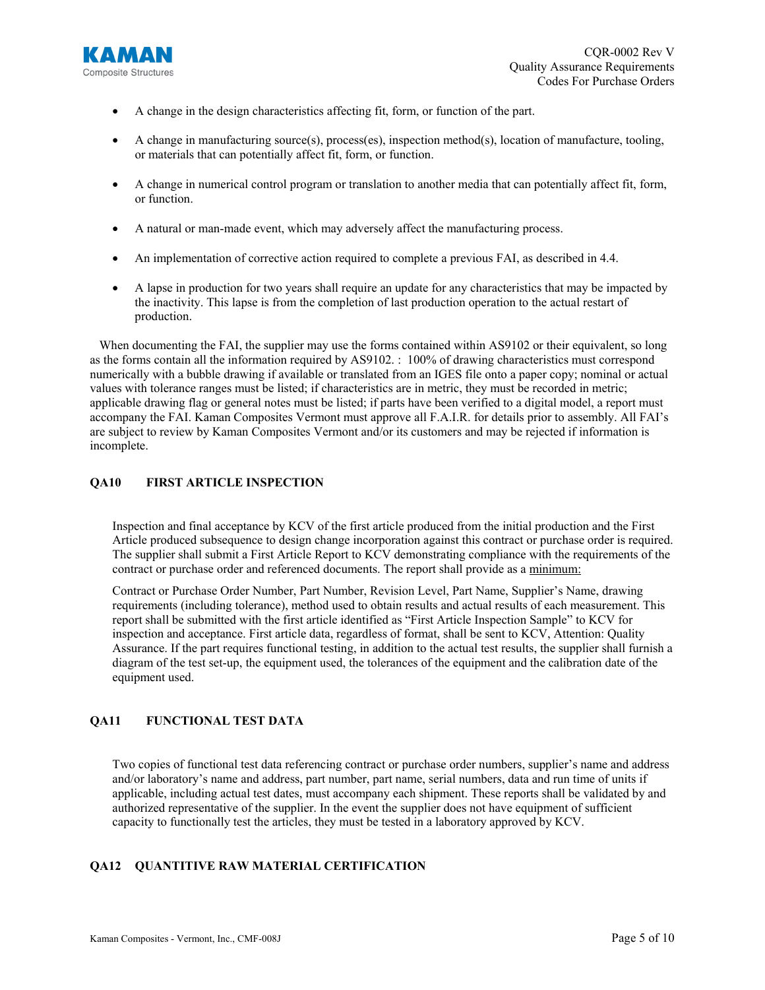

- A change in the design characteristics affecting fit, form, or function of the part.
- A change in manufacturing source(s), process(es), inspection method(s), location of manufacture, tooling, or materials that can potentially affect fit, form, or function.
- A change in numerical control program or translation to another media that can potentially affect fit, form, or function.
- A natural or man-made event, which may adversely affect the manufacturing process.
- An implementation of corrective action required to complete a previous FAI, as described in 4.4.
- A lapse in production for two years shall require an update for any characteristics that may be impacted by the inactivity. This lapse is from the completion of last production operation to the actual restart of production.

When documenting the FAI, the supplier may use the forms contained within AS9102 or their equivalent, so long as the forms contain all the information required by AS9102. : 100% of drawing characteristics must correspond numerically with a bubble drawing if available or translated from an IGES file onto a paper copy; nominal or actual values with tolerance ranges must be listed; if characteristics are in metric, they must be recorded in metric; applicable drawing flag or general notes must be listed; if parts have been verified to a digital model, a report must accompany the FAI. Kaman Composites Vermont must approve all F.A.I.R. for details prior to assembly. All FAI's are subject to review by Kaman Composites Vermont and/or its customers and may be rejected if information is incomplete.

#### **QA10 FIRST ARTICLE INSPECTION**

Inspection and final acceptance by KCV of the first article produced from the initial production and the First Article produced subsequence to design change incorporation against this contract or purchase order is required. The supplier shall submit a First Article Report to KCV demonstrating compliance with the requirements of the contract or purchase order and referenced documents. The report shall provide as a minimum:

Contract or Purchase Order Number, Part Number, Revision Level, Part Name, Supplier's Name, drawing requirements (including tolerance), method used to obtain results and actual results of each measurement. This report shall be submitted with the first article identified as "First Article Inspection Sample" to KCV for inspection and acceptance. First article data, regardless of format, shall be sent to KCV, Attention: Quality Assurance. If the part requires functional testing, in addition to the actual test results, the supplier shall furnish a diagram of the test set-up, the equipment used, the tolerances of the equipment and the calibration date of the equipment used.

# **QA11 FUNCTIONAL TEST DATA**

Two copies of functional test data referencing contract or purchase order numbers, supplier's name and address and/or laboratory's name and address, part number, part name, serial numbers, data and run time of units if applicable, including actual test dates, must accompany each shipment. These reports shall be validated by and authorized representative of the supplier. In the event the supplier does not have equipment of sufficient capacity to functionally test the articles, they must be tested in a laboratory approved by KCV.

# **QA12 QUANTITIVE RAW MATERIAL CERTIFICATION**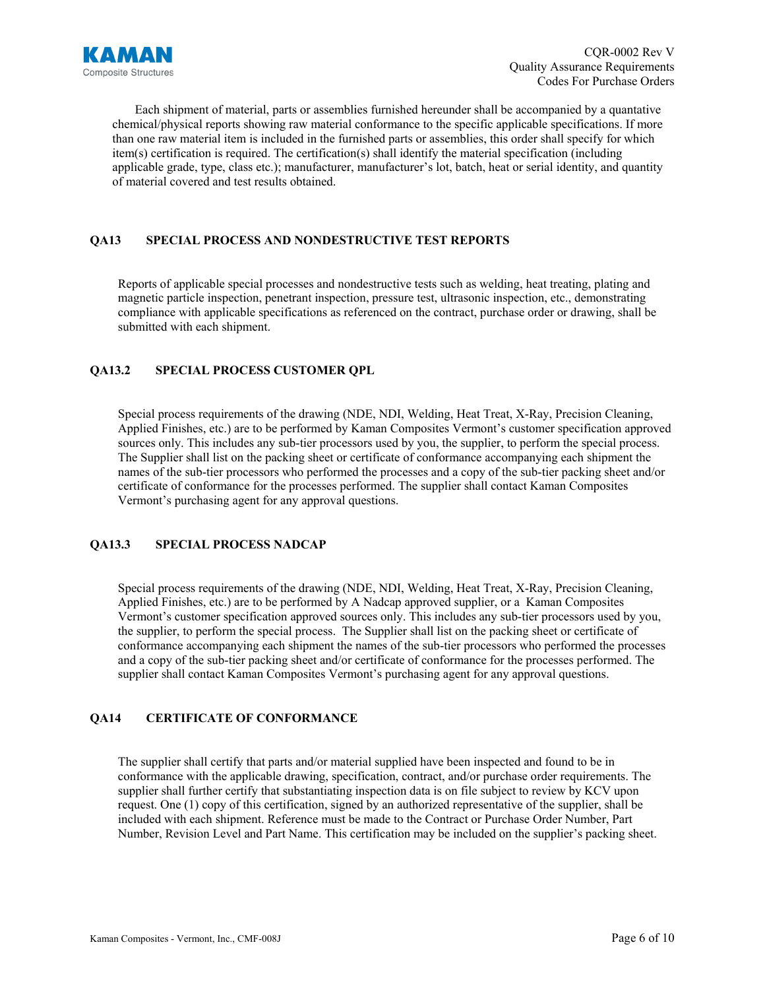

Each shipment of material, parts or assemblies furnished hereunder shall be accompanied by a quantative chemical/physical reports showing raw material conformance to the specific applicable specifications. If more than one raw material item is included in the furnished parts or assemblies, this order shall specify for which item(s) certification is required. The certification(s) shall identify the material specification (including applicable grade, type, class etc.); manufacturer, manufacturer's lot, batch, heat or serial identity, and quantity of material covered and test results obtained.

# **QA13 SPECIAL PROCESS AND NONDESTRUCTIVE TEST REPORTS**

Reports of applicable special processes and nondestructive tests such as welding, heat treating, plating and magnetic particle inspection, penetrant inspection, pressure test, ultrasonic inspection, etc., demonstrating compliance with applicable specifications as referenced on the contract, purchase order or drawing, shall be submitted with each shipment.

# **QA13.2 SPECIAL PROCESS CUSTOMER QPL**

Special process requirements of the drawing (NDE, NDI, Welding, Heat Treat, X-Ray, Precision Cleaning, Applied Finishes, etc.) are to be performed by Kaman Composites Vermont's customer specification approved sources only. This includes any sub-tier processors used by you, the supplier, to perform the special process. The Supplier shall list on the packing sheet or certificate of conformance accompanying each shipment the names of the sub-tier processors who performed the processes and a copy of the sub-tier packing sheet and/or certificate of conformance for the processes performed. The supplier shall contact Kaman Composites Vermont's purchasing agent for any approval questions.

# **QA13.3 SPECIAL PROCESS NADCAP**

Special process requirements of the drawing (NDE, NDI, Welding, Heat Treat, X-Ray, Precision Cleaning, Applied Finishes, etc.) are to be performed by A Nadcap approved supplier, or a Kaman Composites Vermont's customer specification approved sources only. This includes any sub-tier processors used by you, the supplier, to perform the special process. The Supplier shall list on the packing sheet or certificate of conformance accompanying each shipment the names of the sub-tier processors who performed the processes and a copy of the sub-tier packing sheet and/or certificate of conformance for the processes performed. The supplier shall contact Kaman Composites Vermont's purchasing agent for any approval questions.

# **QA14 CERTIFICATE OF CONFORMANCE**

The supplier shall certify that parts and/or material supplied have been inspected and found to be in conformance with the applicable drawing, specification, contract, and/or purchase order requirements. The supplier shall further certify that substantiating inspection data is on file subject to review by KCV upon request. One (1) copy of this certification, signed by an authorized representative of the supplier, shall be included with each shipment. Reference must be made to the Contract or Purchase Order Number, Part Number, Revision Level and Part Name. This certification may be included on the supplier's packing sheet.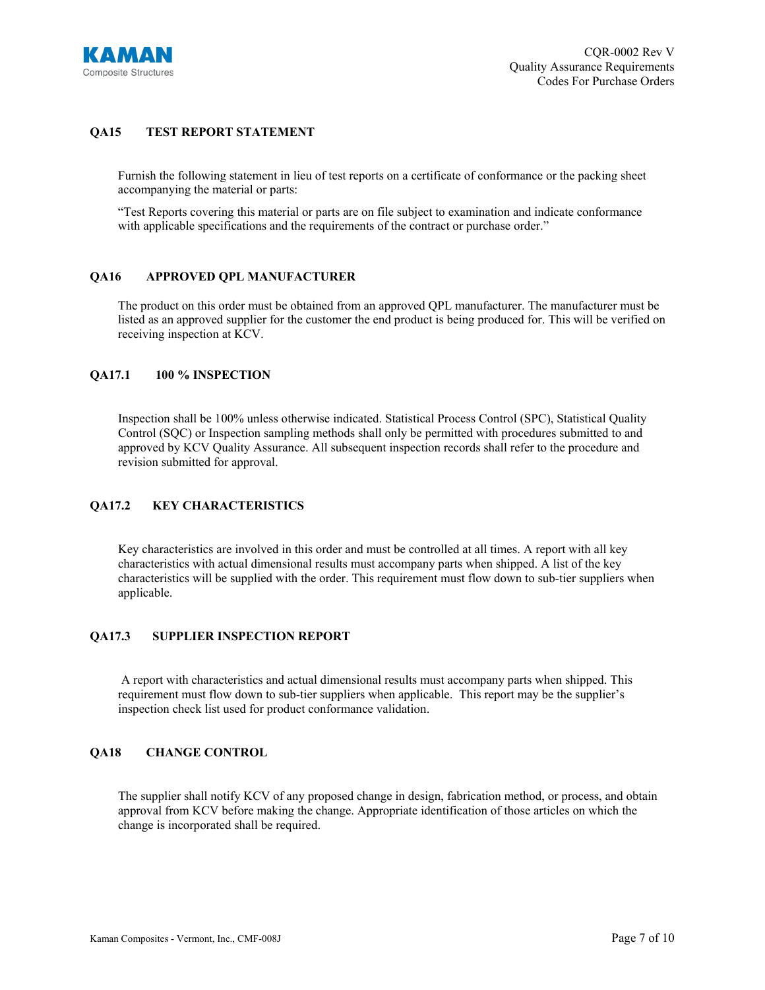

# **QA15 TEST REPORT STATEMENT**

Furnish the following statement in lieu of test reports on a certificate of conformance or the packing sheet accompanying the material or parts:

"Test Reports covering this material or parts are on file subject to examination and indicate conformance with applicable specifications and the requirements of the contract or purchase order."

#### **QA16 APPROVED QPL MANUFACTURER**

The product on this order must be obtained from an approved QPL manufacturer. The manufacturer must be listed as an approved supplier for the customer the end product is being produced for. This will be verified on receiving inspection at KCV.

#### **QA17.1 100 % INSPECTION**

Inspection shall be 100% unless otherwise indicated. Statistical Process Control (SPC), Statistical Quality Control (SQC) or Inspection sampling methods shall only be permitted with procedures submitted to and approved by KCV Quality Assurance. All subsequent inspection records shall refer to the procedure and revision submitted for approval.

# **QA17.2 KEY CHARACTERISTICS**

Key characteristics are involved in this order and must be controlled at all times. A report with all key characteristics with actual dimensional results must accompany parts when shipped. A list of the key characteristics will be supplied with the order. This requirement must flow down to sub-tier suppliers when applicable.

# **QA17.3 SUPPLIER INSPECTION REPORT**

A report with characteristics and actual dimensional results must accompany parts when shipped. This requirement must flow down to sub-tier suppliers when applicable. This report may be the supplier's inspection check list used for product conformance validation.

# **QA18 CHANGE CONTROL**

The supplier shall notify KCV of any proposed change in design, fabrication method, or process, and obtain approval from KCV before making the change. Appropriate identification of those articles on which the change is incorporated shall be required.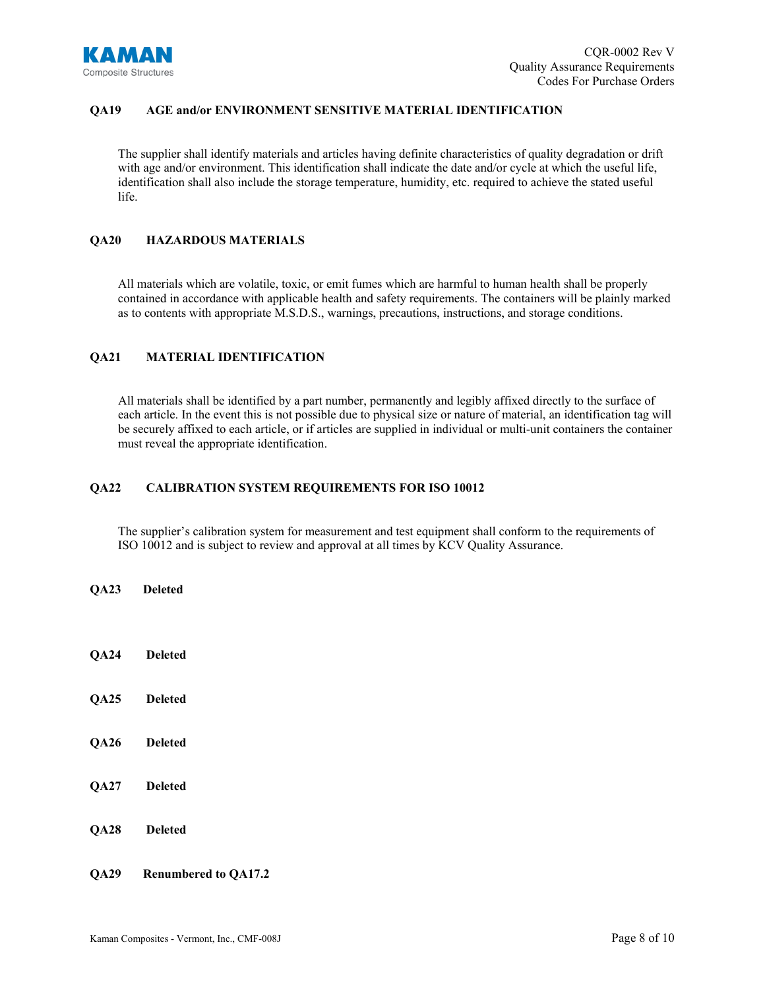

# **QA19 AGE and/or ENVIRONMENT SENSITIVE MATERIAL IDENTIFICATION**

The supplier shall identify materials and articles having definite characteristics of quality degradation or drift with age and/or environment. This identification shall indicate the date and/or cycle at which the useful life, identification shall also include the storage temperature, humidity, etc. required to achieve the stated useful life.

# **QA20 HAZARDOUS MATERIALS**

All materials which are volatile, toxic, or emit fumes which are harmful to human health shall be properly contained in accordance with applicable health and safety requirements. The containers will be plainly marked as to contents with appropriate M.S.D.S., warnings, precautions, instructions, and storage conditions.

# **QA21 MATERIAL IDENTIFICATION**

All materials shall be identified by a part number, permanently and legibly affixed directly to the surface of each article. In the event this is not possible due to physical size or nature of material, an identification tag will be securely affixed to each article, or if articles are supplied in individual or multi-unit containers the container must reveal the appropriate identification.

# **QA22 CALIBRATION SYSTEM REQUIREMENTS FOR ISO 10012**

The supplier's calibration system for measurement and test equipment shall conform to the requirements of ISO 10012 and is subject to review and approval at all times by KCV Quality Assurance.

- **QA23 Deleted**
- **QA24 Deleted**
- **QA25 Deleted**
- **QA26 Deleted**
- **QA27 Deleted**
- **QA28 Deleted**
- **QA29 Renumbered to QA17.2**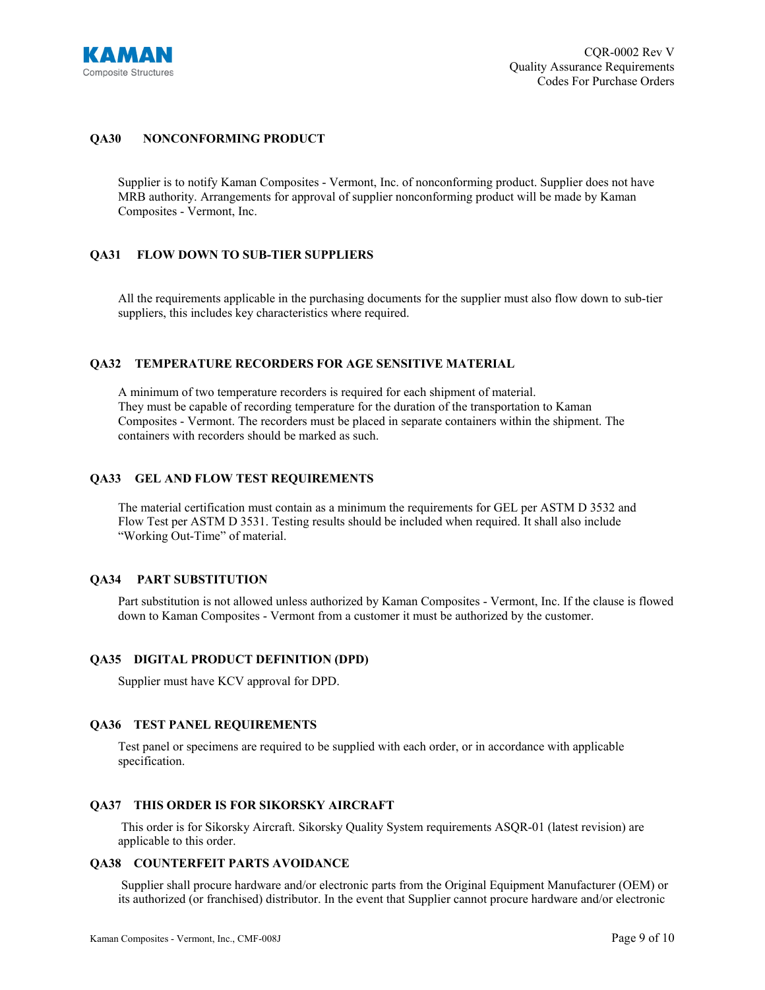

# **QA30 NONCONFORMING PRODUCT**

Supplier is to notify Kaman Composites - Vermont, Inc. of nonconforming product. Supplier does not have MRB authority. Arrangements for approval of supplier nonconforming product will be made by Kaman Composites - Vermont, Inc.

#### **QA31 FLOW DOWN TO SUB-TIER SUPPLIERS**

All the requirements applicable in the purchasing documents for the supplier must also flow down to sub-tier suppliers, this includes key characteristics where required.

#### **QA32 TEMPERATURE RECORDERS FOR AGE SENSITIVE MATERIAL**

A minimum of two temperature recorders is required for each shipment of material. They must be capable of recording temperature for the duration of the transportation to Kaman Composites - Vermont. The recorders must be placed in separate containers within the shipment. The containers with recorders should be marked as such.

#### **QA33 GEL AND FLOW TEST REQUIREMENTS**

The material certification must contain as a minimum the requirements for GEL per ASTM D 3532 and Flow Test per ASTM D 3531. Testing results should be included when required. It shall also include "Working Out-Time" of material.

#### **QA34 PART SUBSTITUTION**

Part substitution is not allowed unless authorized by Kaman Composites - Vermont, Inc. If the clause is flowed down to Kaman Composites - Vermont from a customer it must be authorized by the customer.

#### **QA35 DIGITAL PRODUCT DEFINITION (DPD)**

Supplier must have KCV approval for DPD.

#### **QA36 TEST PANEL REQUIREMENTS**

Test panel or specimens are required to be supplied with each order, or in accordance with applicable specification.

#### **QA37 THIS ORDER IS FOR SIKORSKY AIRCRAFT**

This order is for Sikorsky Aircraft. Sikorsky Quality System requirements ASQR-01 (latest revision) are applicable to this order.

# **QA38 COUNTERFEIT PARTS AVOIDANCE**

Supplier shall procure hardware and/or electronic parts from the Original Equipment Manufacturer (OEM) or its authorized (or franchised) distributor. In the event that Supplier cannot procure hardware and/or electronic